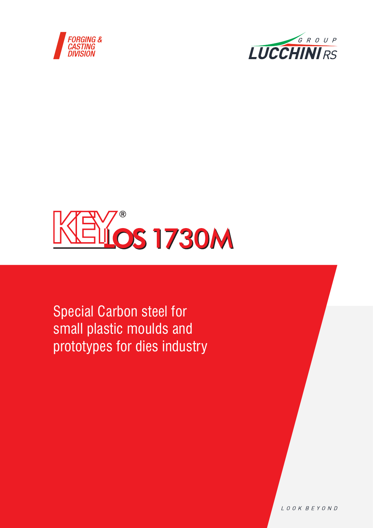





Special Carbon steel for small plastic moulds and prototypes for dies industry

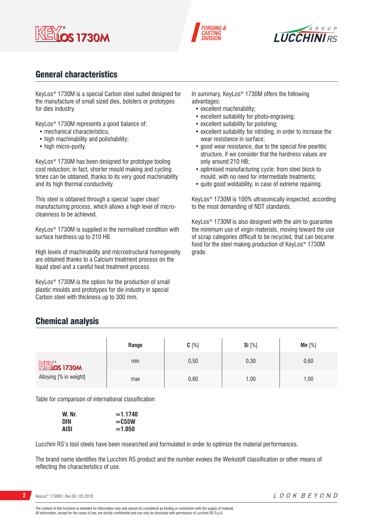





## General characteristics

KeyLos® 1730M is a special Carbon steel suited designed for the manufacture of small sized dies, bolsters or prototypes for dies industry.

KeyLos® 1730M represents a good balance of:

- mechanical characteristics;
- high machinability and polishability;
- high micro-purity.

KeyLos® 1730M has been designed for prototype tooling cost reduction; in fact, shorter mould making and cycling times can be obtained, thanks to its very good machinability and its high thermal conductivity.

This steel is obtained through a special 'super clean' manufacturing process, which allows a high level of microcleanness to be achieved.

KeyLos® 1730M is supplied in the normalised condition with surface hardness up to 210 HB.

High levels of machinability and microstructural homogeneity are obtained thanks to a Calcium treatment process on the liquid steel and a careful heat treatment process.

KeyLos® 1730M is the option for the production of small plastic moulds and prototypes for die industry in special Carbon steel with thickness up to 300 mm.

In summary, KeyLos<sup>®</sup> 1730M offers the following advantages:

- excellent machinability;
- excellent suitability for photo-engraving;
- excellent suitability for polishing;
- excellent suitability for nitriding, in order to increase the wear resistance in surface;
- good wear resistance, due to the special fine pearlitic structure, if we consider that the hardness values are only around 210 HB;
- optimised manufacturing cycle: from steel block to mould, with no need for intermediate treatments;
- quite good weldability, in case of extreme repairing.

KeyLos® 1730M is 100% ultrasonically inspected, according to the most demanding of NDT standards.

KeyLos® 1730M is also designed with the aim to guarantee the minimum use of virgin materials, moving toward the use of scrap categories difficult to be recycled, that can became food for the steel making production of KeyLos® 1730M grade.

## Chemical analysis

|                        | Range | $C[\%]$ | Si [%] | Mn $[%]$ |
|------------------------|-------|---------|--------|----------|
| $M*$ $M*$ $M*$ $M*$    | min   | 0,50    | 0,30   | 0,60     |
| Alloying [% in weight] | max   | 0,60    | ,00    | 1,00     |

Table for comparison of international classification

| W. Nr.      | $\approx$ 1.1740 |
|-------------|------------------|
| DIN         | $\approx$ C55W   |
| <b>AISI</b> | $\approx$ 1.050  |

Lucchini RS's tool steels have been researched and formulated in order to optimize the material performances.

The brand name identifies the Lucchini RS product and the number evokes the Werkstoff classification or other means of reflecting the characteristics of use.

The content of this brochure is intended for information only and cannot be considered as binding in connection with the supply of material. All information, except for the cases of law, are strictly confidential and can only be disclosed with permission of Lucchini RS S.p.A.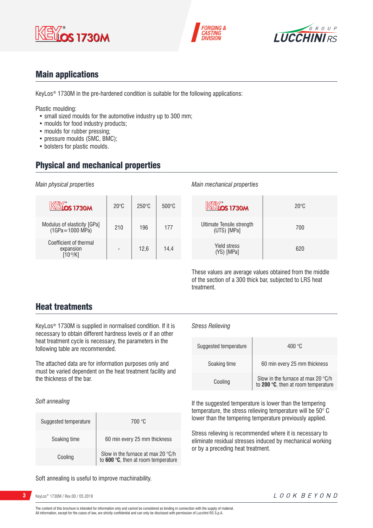





## Main applications

KeyLos® 1730M in the pre-hardened condition is suitable for the following applications:

Plastic moulding:

- small sized moulds for the automotive industry up to 300 mm;
- moulds for food industry products;
- moulds for rubber pressing;
- pressure moulds (SMC, BMC);
- bolsters for plastic moulds.

## Physical and mechanical properties

*Main physical properties*

| KEMOS 1730M                                         | $20^{\circ}$ C | $250^\circ C$ | $500\degree C$ |
|-----------------------------------------------------|----------------|---------------|----------------|
| Modulus of elasticity [GPa]<br>(1GPa=1000 MPa)      | 210            | 196           | 177            |
| Coefficient of thermal<br>expansion<br>$10 - 6/K$ ] |                | 12.6          | 14.4           |

#### *Main mechanical properties*

| <b>ELOS 1730M</b>                        | $20^{\circ}$ C |
|------------------------------------------|----------------|
| Ultimate Tensile strength<br>(UTS) [MPa] | 700            |
| <b>Yield stress</b><br>(YS) [MPa]        | 620            |

These values are average values obtained from the middle of the section of a 300 thick bar, subjected to LRS heat treatment.

## Heat treatments

KeyLos® 1730M is supplied in normalised condition. If it is necessary to obtain different hardness levels or if an other heat treatment cycle is necessary, the parameters in the following table are recommended.

The attached data are for information purposes only and must be varied dependent on the heat treatment facility and the thickness of the bar.

*Soft annealing*

| Suggested temperature | 700 °C                                                                    |  |  |  |  |
|-----------------------|---------------------------------------------------------------------------|--|--|--|--|
| Soaking time          | 60 min every 25 mm thickness                                              |  |  |  |  |
| Cooling               | Slow in the furnace at max 20 °C/h<br>to 600 °C, then at room temperature |  |  |  |  |

Soft annealing is useful to improve machinability.

**3** KeyLos® 1730M / Rev.00 / 05.2019

#### *Stress Relieving*

| Suggested temperature | 400 °C                                                                                      |
|-----------------------|---------------------------------------------------------------------------------------------|
| Soaking time          | 60 min every 25 mm thickness                                                                |
| Cooling               | Slow in the furnace at max 20 $\degree$ C/h<br>to 200 $\degree$ C, then at room temperature |

If the suggested temperature is lower than the tempering temperature, the stress relieving temperature will be 50° C lower than the tempering temperature previously applied.

Stress relieving is recommended where it is necessary to eliminate residual stresses induced by mechanical working or by a preceding heat treatment.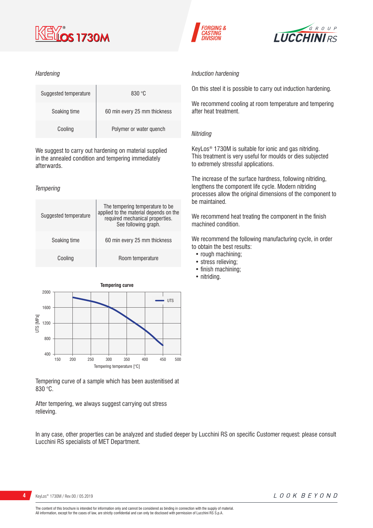

#### *Hardening*

| Suggested temperature | 830 °C                       |  |  |  |  |  |
|-----------------------|------------------------------|--|--|--|--|--|
| Soaking time          | 60 min every 25 mm thickness |  |  |  |  |  |
| Cooling               | Polymer or water quench      |  |  |  |  |  |

We suggest to carry out hardening on material supplied in the annealed condition and tempering immediately afterwards.

#### *Tempering*





Tempering curve of a sample which has been austenitised at 830 °C.

After tempering, we always suggest carrying out stress relieving.

In any case, other properties can be analyzed and studied deeper by Lucchini RS on specific Customer request: please consult Lucchini RS specialists of MET Department.

**FORGING &** 

*ASTING* 



#### *Induction hardening*

On this steel it is possible to carry out induction hardening.

We recommend cooling at room temperature and tempering after heat treatment.

#### *Nitriding*

KeyLos® 1730M is suitable for ionic and gas nitriding. This treatment is very useful for moulds or dies subjected to extremely stressful applications.

The increase of the surface hardness, following nitriding, lengthens the component life cycle. Modern nitriding processes allow the original dimensions of the component to be maintained.

We recommend heat treating the component in the finish machined condition.

We recommend the following manufacturing cycle, in order to obtain the best results:

- rough machining;
- stress relieving;
- finish machining;
- nitriding.

KeyLos® 1730M / Rev.00 / 05.2019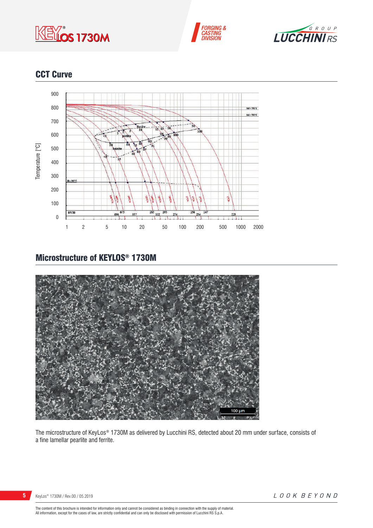





## CCT Curve



## Microstructure of KEYLOS® 1730M



The microstructure of KeyLos® 1730M as delivered by Lucchini RS, detected about 20 mm under surface, consists of a fine lamellar pearlite and ferrite.

LOOK BEYOND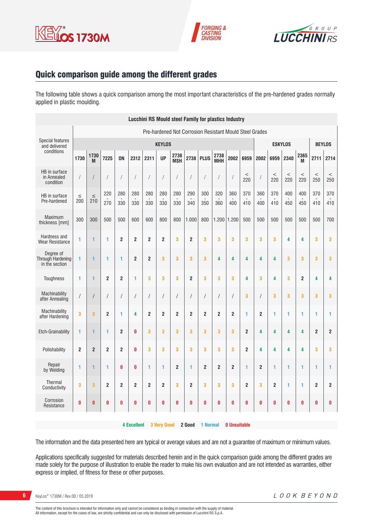





## Quick comparison guide among the different grades

The following table shows a quick comparison among the most important characteristics of the pre-hardened grades normally applied in plastic moulding.

| <b>Lucchini RS Mould steel Family for plastics Industry</b> |                                                                                       |                |                |                |                  |                         |                |                         |                |                  |                         |                |                         |                  |                |              |                |                         |                |
|-------------------------------------------------------------|---------------------------------------------------------------------------------------|----------------|----------------|----------------|------------------|-------------------------|----------------|-------------------------|----------------|------------------|-------------------------|----------------|-------------------------|------------------|----------------|--------------|----------------|-------------------------|----------------|
| Pre-hardened Not Corrosion Resistant Mould Steel Grades     |                                                                                       |                |                |                |                  |                         |                |                         |                |                  |                         |                |                         |                  |                |              |                |                         |                |
| <b>Special features</b><br>and delivered                    |                                                                                       | <b>KEYLOS</b>  |                |                |                  |                         |                |                         | <b>ESKYLOS</b> |                  |                         |                | <b>BEYLOS</b>           |                  |                |              |                |                         |                |
| conditions                                                  | 1730                                                                                  | 1730<br>M      | 7225           | <b>ON</b>      | 2312             | 2311                    | <b>UP</b>      | 2738<br><b>MSH</b>      | 2738           | <b>PLUS</b>      | 2738<br>MHH             | 2002           | 6959                    | 2002             | 6959           | 2340         | 2365<br>M      | 2711                    | 2714           |
| HB in surface<br>in Annealed<br>condition                   |                                                                                       |                |                | $\overline{1}$ | $\overline{1}$   | $\sqrt{2}$              | $\prime$       | $\sqrt{2}$              | $\sqrt{2}$     | $\sqrt{2}$       |                         |                | $\,<$<br>220            |                  | $\,<$<br>220   | $\,<$<br>220 | $\,<$<br>220   | $\,<$<br>250            | $\,<$<br>250   |
| HB in surface<br>Pre-hardened                               | $\leq$<br>200                                                                         | $\leq$<br>210  | 220<br>270     | 280<br>330     | 280<br>330       | 280<br>330              | 280<br>330     | 280<br>330              | 290<br>340     | 300<br>350       | 320<br>360              | 360<br>400     | 370<br>410              | 360<br>400       | 370<br>410     | 400<br>450   | 400<br>450     | 370<br>410              | 370<br>410     |
| <b>Maximum</b><br>thickness [mm]                            | 300                                                                                   | 300            | 500            | 500            | 600              | 600                     | 800            | 800                     | 1.000          | 800              | 1.200                   | 1.200          | 500                     | 500              | 500            | 500          | 500            | 500                     | 700            |
| Hardness and<br><b>Wear Resistance</b>                      | 1                                                                                     | 1              | 1              | $\mathbf{2}$   | $\overline{2}$   | $\overline{c}$          | $\overline{2}$ | 3                       | $\overline{2}$ | 3                | 3                       | 3              | 3                       | 3                | 3              | 4            | 4              | 3                       | 3              |
| Degree of<br>Through Hardening<br>in the section            | 1                                                                                     | 1              | 1              | 1              | $\boldsymbol{2}$ | $\overline{\mathbf{c}}$ | 3              | 3                       | 3              | $\bf{3}$         | 4                       | 4              | 4                       | 4                | 4              | 3            | 3              | 3                       | 3              |
| Toughness                                                   | 1                                                                                     | 1              | $\overline{2}$ | $\overline{2}$ | 1                | 3                       | 3              | 3                       | $\overline{2}$ | 3                | 3                       | 3              | 4                       | 3                | 4              | 3            | $\overline{2}$ | 4                       | 4              |
| Machinability<br>after Annealing                            | $\sqrt{2}$                                                                            | $\sqrt{2}$     | $\prime$       | $\sqrt{2}$     | $\sqrt{2}$       | /                       | $\prime$       | /                       | /              | $\sqrt{2}$       | $\sqrt{2}$              |                | 3                       | 1                | 3              | 3            | 3              | 3                       | 3              |
| Machinability<br>after Hardening                            | 3                                                                                     | 3              | $\overline{2}$ | $\mathbf{1}$   | 4                | $\overline{2}$          | $\overline{2}$ | 2                       | $\overline{2}$ | $\boldsymbol{2}$ | $\overline{2}$          | $\overline{2}$ | 1                       | $\overline{2}$   | 1              | 1            | 1              | 1                       | 1              |
| <b>Etch-Grainability</b>                                    | 1                                                                                     | 1              | 1              | $\overline{2}$ | $\mathbf{0}$     | 3                       | 3              | 3                       | 3              | 3                | 3                       | 3              | $\overline{\mathbf{c}}$ | 4                | 4              | 4            | 4              | $\overline{\mathbf{c}}$ | $\overline{2}$ |
| Polishability                                               | $\overline{2}$                                                                        | $\overline{2}$ | $\overline{2}$ | $\overline{2}$ | $\bf{0}$         | 3                       | 3              | 3                       | 3              | 3                | 3                       | 3              | $\overline{2}$          | 4                | 4              | 4            | 4              | 3                       | 3              |
| Repair<br>by Welding                                        | 1                                                                                     | 1              | 1              | $\bf{0}$       | $\bf{0}$         | 1                       | 1              | $\overline{\mathbf{c}}$ | 1              | $\overline{2}$   | $\overline{\mathbf{c}}$ | $\overline{2}$ | 1                       | $\boldsymbol{2}$ | 1              | 1            | 1              | 1                       | 1              |
| Thermal<br>Conductivity                                     | 3                                                                                     | 3              | $\overline{2}$ | $\overline{2}$ | $\overline{2}$   | $\overline{2}$          | $\overline{2}$ | 3                       | $\overline{2}$ | 3                | 3                       | 3              | $\overline{\mathbf{c}}$ | 3                | $\overline{2}$ | 1            | 1              | $\overline{2}$          | $\overline{2}$ |
| Corrosion<br>Resistance                                     | 0                                                                                     | $\bf{0}$       | 0              | 0              | $\pmb{0}$        | $\pmb{0}$               | $\bf{0}$       | 0                       | 0              | $\bf{0}$         | $\pmb{0}$               | 0              | $\bf{0}$                | 0                | $\bf{0}$       | $\bf{0}$     | 0              | 0                       | 0              |
|                                                             | <b>3 Very Good</b><br>2 Good<br><b>4 Excellent</b><br>1 Normal<br><b>0 Unsuitable</b> |                |                |                |                  |                         |                |                         |                |                  |                         |                |                         |                  |                |              |                |                         |                |

The information and the data presented here are typical or average values and are not a guarantee of maximum or minimum values.

Applications specifically suggested for materials described herein and in the quick comparison guide among the different grades are made solely for the purpose of illustration to enable the reader to make his own evaluation and are not intended as warranties, either express or implied, of fitness for these or other purposes.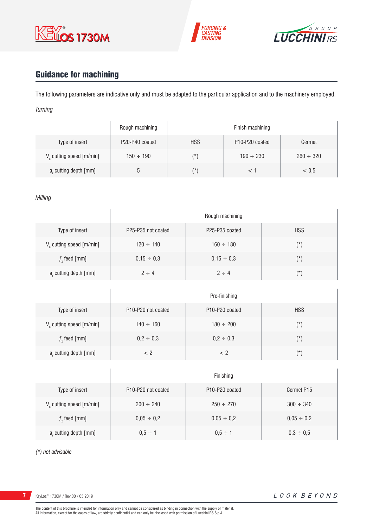





# Guidance for machining

The following parameters are indicative only and must be adapted to the particular application and to the machinery employed. *Turning*

|                                      | Rough machining | Finish machining |                                         |                |  |  |  |  |
|--------------------------------------|-----------------|------------------|-----------------------------------------|----------------|--|--|--|--|
| Type of insert                       | P20-P40 coated  | <b>HSS</b>       | P <sub>10</sub> -P <sub>20</sub> coated | Cermet         |  |  |  |  |
| V <sub>c</sub> cutting speed [m/min] | $150 \div 190$  | (*`              | $190 \div 230$                          | $260 \div 320$ |  |  |  |  |
| a, cutting depth [mm]                | b               | (*               |                                         | < 0.5          |  |  |  |  |

#### *Milling*

|                             | Rough machining    |                                         |            |  |  |  |  |  |  |
|-----------------------------|--------------------|-----------------------------------------|------------|--|--|--|--|--|--|
| Type of insert              | P25-P35 not coated | P <sub>25</sub> -P <sub>35</sub> coated | <b>HSS</b> |  |  |  |  |  |  |
| $V_c$ cutting speed [m/min] | $120 \div 140$     | $160 \div 180$                          | $(\star)$  |  |  |  |  |  |  |
| $fz$ feed [mm]              | $0,15 \div 0,3$    | $0,15 \div 0,3$                         | $(\star)$  |  |  |  |  |  |  |
| $ar$ cutting depth [mm]     | $2 \div 4$         | $2 \div 4$                              | $(\star)$  |  |  |  |  |  |  |

|                         | Pre-finishing                                      |                                         |            |  |  |  |  |  |  |
|-------------------------|----------------------------------------------------|-----------------------------------------|------------|--|--|--|--|--|--|
| Type of insert          | P <sub>10</sub> -P <sub>20</sub> not coated        | P <sub>10</sub> -P <sub>20</sub> coated | <b>HSS</b> |  |  |  |  |  |  |
| V cutting speed [m/min] | $140 \div 160$                                     | $180 \div 200$                          | (*)        |  |  |  |  |  |  |
| $f$ , feed [mm]         | $0,2 \div 0,3$                                     | $0,2 \div 0,3$                          | $(\star)$  |  |  |  |  |  |  |
| a, cutting depth [mm]   | </td <td>&lt; 2</td> <td><math>(\star)</math></td> | < 2                                     | $(\star)$  |  |  |  |  |  |  |

|                                      | Finishing                                   |                                         |                 |  |  |  |  |  |
|--------------------------------------|---------------------------------------------|-----------------------------------------|-----------------|--|--|--|--|--|
| Type of insert                       | P <sub>10</sub> -P <sub>20</sub> not coated | P <sub>10</sub> -P <sub>20</sub> coated | Cermet P15      |  |  |  |  |  |
| V <sub>c</sub> cutting speed [m/min] | $200 \div 240$                              | $250 \div 270$                          | $300 \div 340$  |  |  |  |  |  |
| $f$ , feed [mm]                      | $0,05 \div 0,2$                             | $0,05 \div 0,2$                         | $0,05 \div 0,2$ |  |  |  |  |  |
| a, cutting depth [mm]                | $0.5 \div 1$                                | $0.5 \div 1$                            | $0,3 \div 0,5$  |  |  |  |  |  |

*(\*) not advisable*

KeyLos® 1730M / Rev.00 / 05.2019

 $\overline{1}$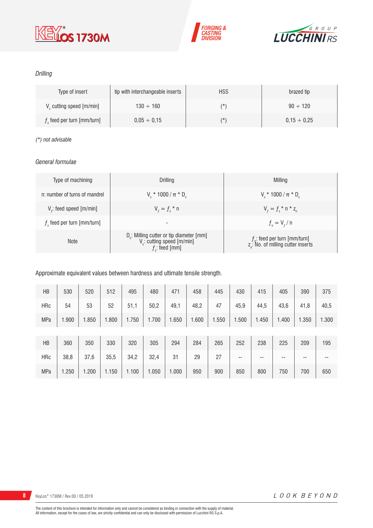





### *Drilling*

| Type of insert                       | tip with interchangeable inserts | <b>HSS</b> | brazed tip       |
|--------------------------------------|----------------------------------|------------|------------------|
| V <sub>c</sub> cutting speed [m/min] | $130 \div 160$                   | $(\star)$  | $90 \div 120$    |
| $fz$ feed per turn [mm/turn]         | $0.05 \div 0.15$                 | $(\star)$  | $0.15 \div 0.25$ |

#### *(\*) not advisable*

#### *General formulae*

| Type of machining             | Drilling                                                                                                          | Milling                                                                             |
|-------------------------------|-------------------------------------------------------------------------------------------------------------------|-------------------------------------------------------------------------------------|
| n: number of turns of mandrel | $V_r * 1000 / \pi * D_r$                                                                                          | $V_r * 1000 / \pi * D_r$                                                            |
| $V_f$ : feed speed [m/min]    | $V_{f} = f_{7}$ * n                                                                                               | $V_{f} = f_{i} * n * z_{n}$                                                         |
| $fz$ feed per turn [mm/turn]  | $\overline{\phantom{a}}$                                                                                          | $f_{n} = V_{f} / n$                                                                 |
| <b>Note</b>                   | D <sub>r</sub> : Milling cutter or tip diameter [mm]<br>V <sub>c</sub> : cutting speed [m/min]<br>$f$ ; feed [mm] | $f_{n}$ : feed per turn [mm/turn]<br>z <sub>n</sub> : No. of milling cutter inserts |

#### Approximate equivalent values between hardness and ultimate tensile strength.

| HB         | 530   | 520   | 512   | 495   | 480   | 471   | 458   | 445   | 430   | 415   | 405   | 390   | 375   |
|------------|-------|-------|-------|-------|-------|-------|-------|-------|-------|-------|-------|-------|-------|
| <b>HRc</b> | 54    | 53    | 52    | 51,1  | 50,2  | 49,1  | 48,2  | 47    | 45,9  | 44,5  | 43,6  | 41,8  | 40,5  |
| <b>MPa</b> | 1.900 | 1.850 | 1.800 | 1.750 | 1.700 | 1.650 | 1.600 | 1.550 | 1.500 | 1.450 | 1.400 | 1.350 | 1.300 |
|            |       |       |       |       |       |       |       |       |       |       |       |       |       |
| HB         | 360   | 350   | 330   | 320   | 305   | 294   | 284   | 265   | 252   | 238   | 225   | 209   | 195   |
| <b>HRc</b> | 38,8  | 37,6  | 35,5  | 34,2  | 32,4  | 31    | 29    | 27    | --    | --    | --    | --    | --    |
| <b>MPa</b> | 1.250 | 1.200 | 1.150 | 1.100 | 1.050 | 1.000 | 950   | 900   | 850   | 800   | 750   | 700   | 650   |